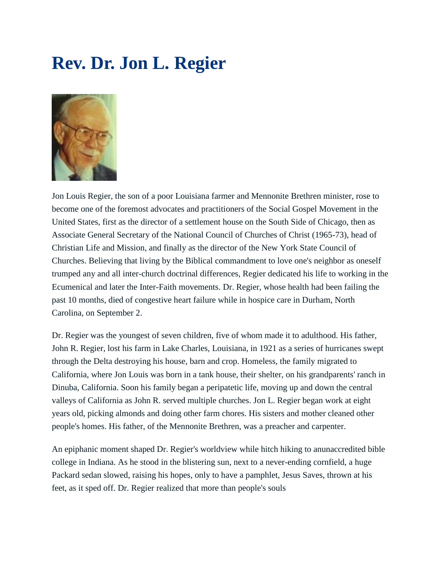## **Rev. Dr. Jon L. Regier**



Jon Louis Regier, the son of a poor Louisiana farmer and Mennonite Brethren minister, rose to become one of the foremost advocates and practitioners of the Social Gospel Movement in the United States, first as the director of a settlement house on the South Side of Chicago, then as Associate General Secretary of the National Council of Churches of Christ (1965-73), head of Christian Life and Mission, and finally as the director of the New York State Council of Churches. Believing that living by the Biblical commandment to love one's neighbor as oneself trumped any and all inter-church doctrinal differences, Regier dedicated his life to working in the Ecumenical and later the Inter-Faith movements. Dr. Regier, whose health had been failing the past 10 months, died of congestive heart failure while in hospice care in Durham, North Carolina, on September 2.

Dr. Regier was the youngest of seven children, five of whom made it to adulthood. His father, John R. Regier, lost his farm in Lake Charles, Louisiana, in 1921 as a series of hurricanes swept through the Delta destroying his house, barn and crop. Homeless, the family migrated to California, where Jon Louis was born in a tank house, their shelter, on his grandparents' ranch in Dinuba, California. Soon his family began a peripatetic life, moving up and down the central valleys of California as John R. served multiple churches. Jon L. Regier began work at eight years old, picking almonds and doing other farm chores. His sisters and mother cleaned other people's homes. His father, of the Mennonite Brethren, was a preacher and carpenter.

An epiphanic moment shaped Dr. Regier's worldview while hitch hiking to anunaccredited bible college in Indiana. As he stood in the blistering sun, next to a never-ending cornfield, a huge Packard sedan slowed, raising his hopes, only to have a pamphlet, Jesus Saves, thrown at his feet, as it sped off. Dr. Regier realized that more than people's souls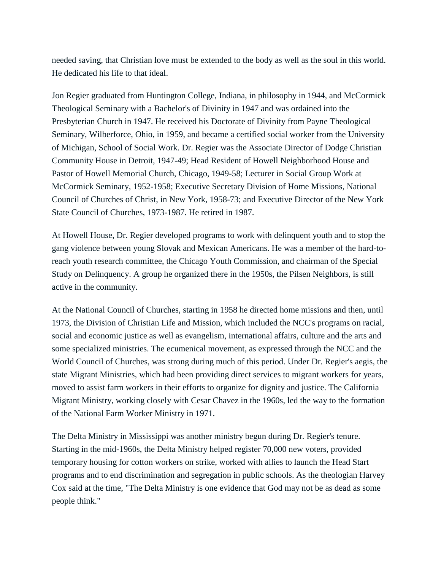needed saving, that Christian love must be extended to the body as well as the soul in this world. He dedicated his life to that ideal.

Jon Regier graduated from Huntington College, Indiana, in philosophy in 1944, and McCormick Theological Seminary with a Bachelor's of Divinity in 1947 and was ordained into the Presbyterian Church in 1947. He received his Doctorate of Divinity from Payne Theological Seminary, Wilberforce, Ohio, in 1959, and became a certified social worker from the University of Michigan, School of Social Work. Dr. Regier was the Associate Director of Dodge Christian Community House in Detroit, 1947-49; Head Resident of Howell Neighborhood House and Pastor of Howell Memorial Church, Chicago, 1949-58; Lecturer in Social Group Work at McCormick Seminary, 1952-1958; Executive Secretary Division of Home Missions, National Council of Churches of Christ, in New York, 1958-73; and Executive Director of the New York State Council of Churches, 1973-1987. He retired in 1987.

At Howell House, Dr. Regier developed programs to work with delinquent youth and to stop the gang violence between young Slovak and Mexican Americans. He was a member of the hard-toreach youth research committee, the Chicago Youth Commission, and chairman of the Special Study on Delinquency. A group he organized there in the 1950s, the Pilsen Neighbors, is still active in the community.

At the National Council of Churches, starting in 1958 he directed home missions and then, until 1973, the Division of Christian Life and Mission, which included the NCC's programs on racial, social and economic justice as well as evangelism, international affairs, culture and the arts and some specialized ministries. The ecumenical movement, as expressed through the NCC and the World Council of Churches, was strong during much of this period. Under Dr. Regier's aegis, the state Migrant Ministries, which had been providing direct services to migrant workers for years, moved to assist farm workers in their efforts to organize for dignity and justice. The California Migrant Ministry, working closely with Cesar Chavez in the 1960s, led the way to the formation of the National Farm Worker Ministry in 1971.

The Delta Ministry in Mississippi was another ministry begun during Dr. Regier's tenure. Starting in the mid-1960s, the Delta Ministry helped register 70,000 new voters, provided temporary housing for cotton workers on strike, worked with allies to launch the Head Start programs and to end discrimination and segregation in public schools. As the theologian Harvey Cox said at the time, "The Delta Ministry is one evidence that God may not be as dead as some people think."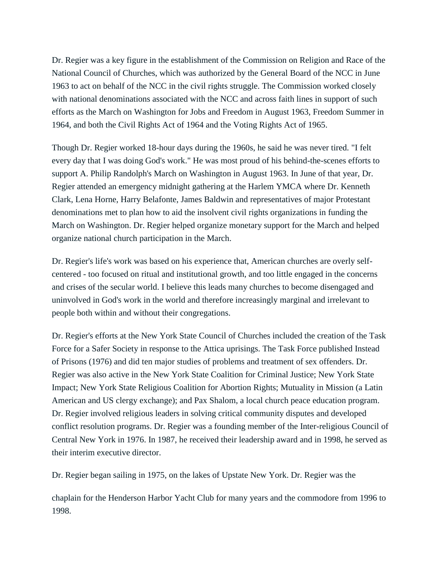Dr. Regier was a key figure in the establishment of the Commission on Religion and Race of the National Council of Churches, which was authorized by the General Board of the NCC in June 1963 to act on behalf of the NCC in the civil rights struggle. The Commission worked closely with national denominations associated with the NCC and across faith lines in support of such efforts as the March on Washington for Jobs and Freedom in August 1963, Freedom Summer in 1964, and both the Civil Rights Act of 1964 and the Voting Rights Act of 1965.

Though Dr. Regier worked 18-hour days during the 1960s, he said he was never tired. "I felt every day that I was doing God's work." He was most proud of his behind-the-scenes efforts to support A. Philip Randolph's March on Washington in August 1963. In June of that year, Dr. Regier attended an emergency midnight gathering at the Harlem YMCA where Dr. Kenneth Clark, Lena Horne, Harry Belafonte, James Baldwin and representatives of major Protestant denominations met to plan how to aid the insolvent civil rights organizations in funding the March on Washington. Dr. Regier helped organize monetary support for the March and helped organize national church participation in the March.

Dr. Regier's life's work was based on his experience that, American churches are overly selfcentered - too focused on ritual and institutional growth, and too little engaged in the concerns and crises of the secular world. I believe this leads many churches to become disengaged and uninvolved in God's work in the world and therefore increasingly marginal and irrelevant to people both within and without their congregations.

Dr. Regier's efforts at the New York State Council of Churches included the creation of the Task Force for a Safer Society in response to the Attica uprisings. The Task Force published Instead of Prisons (1976) and did ten major studies of problems and treatment of sex offenders. Dr. Regier was also active in the New York State Coalition for Criminal Justice; New York State Impact; New York State Religious Coalition for Abortion Rights; Mutuality in Mission (a Latin American and US clergy exchange); and Pax Shalom, a local church peace education program. Dr. Regier involved religious leaders in solving critical community disputes and developed conflict resolution programs. Dr. Regier was a founding member of the Inter-religious Council of Central New York in 1976. In 1987, he received their leadership award and in 1998, he served as their interim executive director.

Dr. Regier began sailing in 1975, on the lakes of Upstate New York. Dr. Regier was the

chaplain for the Henderson Harbor Yacht Club for many years and the commodore from 1996 to 1998.